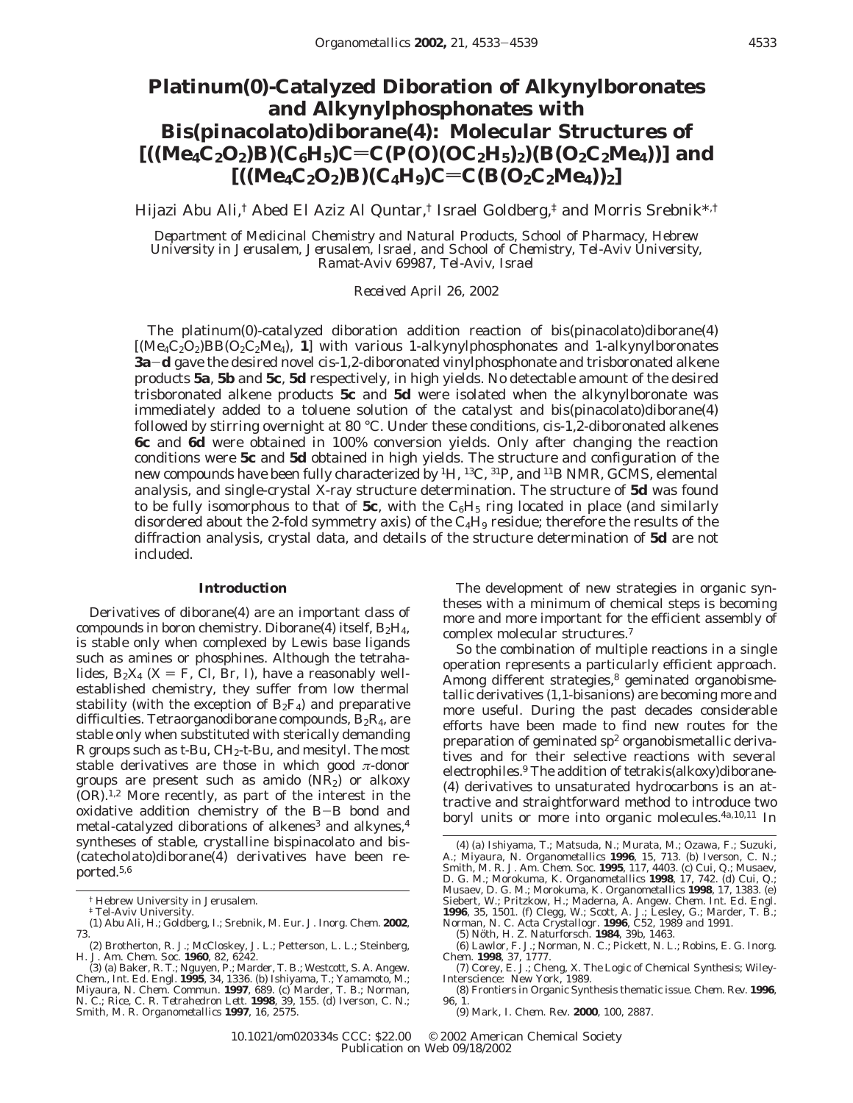# **Platinum(0)-Catalyzed Diboration of Alkynylboronates and Alkynylphosphonates with Bis(pinacolato)diborane(4): Molecular Structures of**  $[((Me_4C_2O_2)B)(C_6H_5)C=C(P(O)(OC_2H_5)_2)(B(O_2C_2Me_4))]$  and  $[( (Me_4C_2O_2)B)(C_4H_9)C=C(B(O_2C_2Me_4))_2]$

Hijazi Abu Ali,† Abed El Aziz Al Quntar,† Israel Goldberg,‡ and Morris Srebnik\*,†

*Department of Medicinal Chemistry and Natural Products, School of Pharmacy, Hebrew University in Jerusalem, Jerusalem, Israel, and School of Chemistry, Tel-Aviv University, Ramat-Aviv 69987, Tel-Aviv, Israel*

*Received April 26, 2002*

The platinum(0)-catalyzed diboration addition reaction of bis(pinacolato)diborane(4)  $[(Me<sub>4</sub>C<sub>2</sub>O<sub>2</sub>)BB(O<sub>2</sub>C<sub>2</sub>Me<sub>4</sub>), 1]$  with various 1-alkynylphosphonates and 1-alkynylboronates **3a**-**<sup>d</sup>** gave the desired novel *cis*-1,2-diboronated vinylphosphonate and trisboronated alkene products **5a**, **5b** and **5c**, **5d** respectively, in high yields. No detectable amount of the desired trisboronated alkene products **5c** and **5d** were isolated when the alkynylboronate was immediately added to a toluene solution of the catalyst and bis(pinacolato)diborane(4) followed by stirring overnight at 80 °C. Under these conditions, *cis*-1,2-diboronated alkenes **6c** and **6d** were obtained in 100% conversion yields. Only after changing the reaction conditions were **5c** and **5d** obtained in high yields. The structure and configuration of the new compounds have been fully characterized by 1H, 13C, 31P, and 11B NMR, GCMS, elemental analysis, and single-crystal X-ray structure determination. The structure of **5d** was found to be fully isomorphous to that of  $5c$ , with the  $C_6H_5$  ring located in place (and similarly disordered about the 2-fold symmetry axis) of the  $C_4H_9$  residue; therefore the results of the diffraction analysis, crystal data, and details of the structure determination of **5d** are not included.

### **Introduction**

Derivatives of diborane(4) are an important class of compounds in boron chemistry. Diborane(4) itself,  $B_2H_4$ , is stable only when complexed by Lewis base ligands such as amines or phosphines. Although the tetrahalides,  $B_2X_4$  (X = F, Cl, Br, I), have a reasonably wellestablished chemistry, they suffer from low thermal stability (with the exception of  $B_2F_4$ ) and preparative difficulties. Tetraorganodiborane compounds,  $B_2R_4$ , are stable only when substituted with sterically demanding R groups such as *t*-Bu, CH2*-t*-Bu, and mesityl. The most stable derivatives are those in which good *π*-donor groups are present such as amido  $(NR_2)$  or alkoxy (OR).1,2 More recently, as part of the interest in the oxidative addition chemistry of the B-B bond and metal-catalyzed diborations of alkenes<sup>3</sup> and alkynes, $4$ syntheses of stable, crystalline bispinacolato and bis- (catecholato)diborane(4) derivatives have been reported.5,6

The development of new strategies in organic syntheses with a minimum of chemical steps is becoming more and more important for the efficient assembly of complex molecular structures.7

So the combination of multiple reactions in a single operation represents a particularly efficient approach. Among different strategies,<sup>8</sup> geminated organobismetallic derivatives (1,1-bisanions) are becoming more and more useful. During the past decades considerable efforts have been made to find new routes for the preparation of geminated  $sp<sup>2</sup>$  organobismetallic derivatives and for their selective reactions with several electrophiles.<sup>9</sup> The addition of tetrakis(alkoxy)diborane-(4) derivatives to unsaturated hydrocarbons is an attractive and straightforward method to introduce two boryl units or more into organic molecules.<sup>4a,10,11</sup> In

<sup>†</sup> Hebrew University in Jerusalem.

<sup>‡</sup> Tel-Aviv University.

<sup>(1)</sup> Abu Ali, H.; Goldberg, I.; Srebnik, M. *Eur*. *J. Inorg. Chem.* **2002**, 73.

<sup>(2)</sup> Brotherton, R. J.; McCloskey, J. L.; Petterson, L. L.; Steinberg, H. *J. Am. Chem. Soc.* **1960**, *82*, 6242. (3) (a) Baker, R. T.; Nguyen, P.; Marder, T. B.; Westcott, S. A. *Angew.*

*Chem*., *Int. Ed. Engl.* **1995**, *34*, 1336. (b) Ishiyama, T.; Yamamoto, M.; Miyaura, N. *Chem. Commun.* **1997**, 689. (c) Marder, T. B.; Norman, N. C.; Rice, C. R. *Tetrahedron Lett.* **1998**, *39*, 155. (d) Iverson, C. N.; Smith, M. R. *Organometallics* **1997**, *16*, 2575.

<sup>(4) (</sup>a) Ishiyama, T.; Matsuda, N.; Murata, M.; Ozawa, F.; Suzuki, A.; Miyaura, N. *Organometallics* **1996**, *15*, 713. (b) Iverson, C. N.; Smith, M. R. *J. Am. Chem. Soc.* **1995**, *117*, 4403. (c) Cui, Q.; Musaev, D. G. M.; Morokuma, K. *Organometallics* **1998**, *17*, 742. (d) Cui, Q.; Musaev, D. G. M.; Morokuma, K. *Organometallics* **1998**, 17, 1383. (e) Siebert, W.; Pritzkow, H.; Maderna, A. *Angew. Chem. Int. Ed. Engl.* **1996**, *35*, 1501. (f) Clegg, W.; Scott, A. J.; Lesley, G.; Marder, T. B.; Norman

<sup>(6)</sup> Lawlor, F. J.; Norman, N. C.; Pickett, N. L.; Robins, E. G. *Inorg. Chem*. **1998**, *37*, 1777.

<sup>(7)</sup> Corey, E. J.; Cheng, X. *The Logic of Chemical Synthesis*; Wiley-Interscience: New York, 1989.

<sup>(8)</sup> Frontiers in Organic Synthesis thematic issue. *Chem. Rev.* **1996**, *96*, 1.

<sup>(9)</sup> Mark, I. *Chem. Rev.* **2000**, *100*, 2887.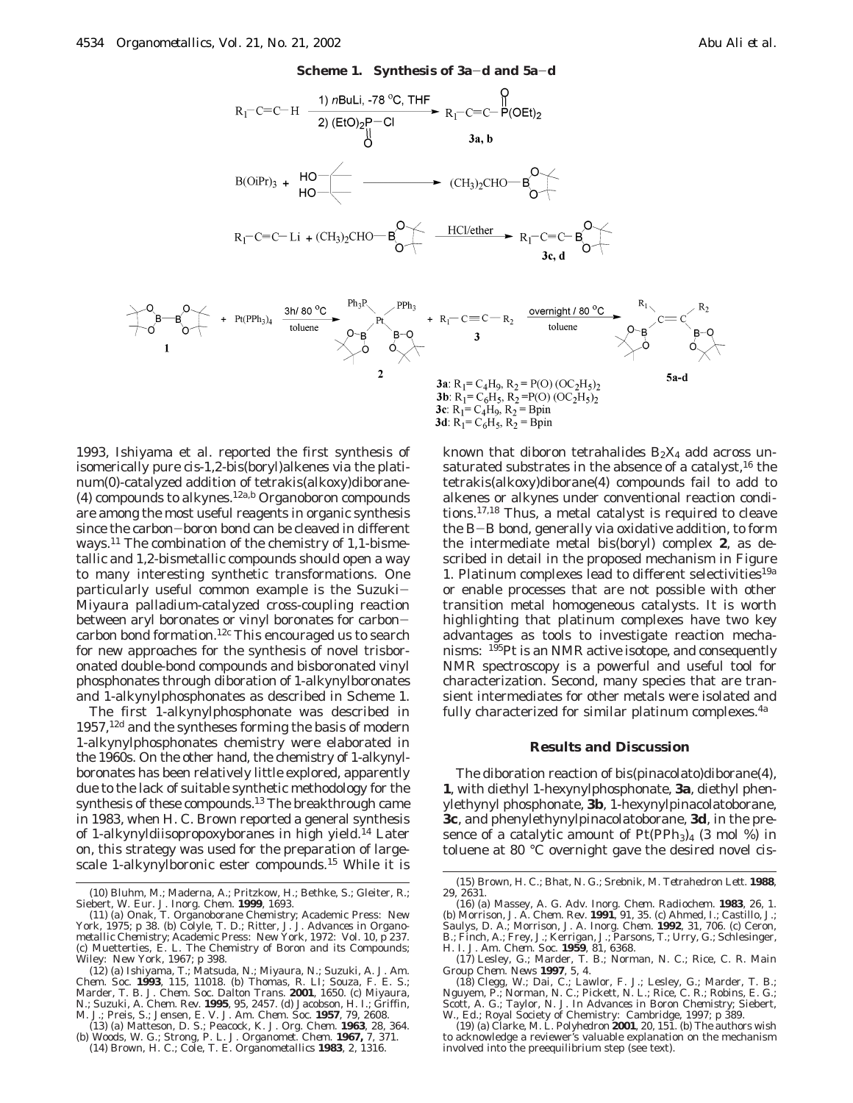

1993, Ishiyama et al. reported the first synthesis of isomerically pure *cis*-1,2-bis(boryl)alkenes via the platinum(0)-catalyzed addition of tetrakis(alkoxy)diborane- (4) compounds to alkynes.12a,b Organoboron compounds are among the most useful reagents in organic synthesis since the carbon-boron bond can be cleaved in different ways.<sup>11</sup> The combination of the chemistry of 1,1-bismetallic and 1,2-bismetallic compounds should open a way to many interesting synthetic transformations. One particularly useful common example is the Suzuki-Miyaura palladium-catalyzed cross-coupling reaction between aryl boronates or vinyl boronates for carboncarbon bond formation.12c This encouraged us to search for new approaches for the synthesis of novel trisboronated double-bond compounds and bisboronated vinyl phosphonates through diboration of 1-alkynylboronates and 1-alkynylphosphonates as described in Scheme 1.

The first 1-alkynylphosphonate was described in 1957,<sup>12d</sup> and the syntheses forming the basis of modern 1-alkynylphosphonates chemistry were elaborated in the 1960s. On the other hand, the chemistry of 1-alkynylboronates has been relatively little explored, apparently due to the lack of suitable synthetic methodology for the synthesis of these compounds.<sup>13</sup> The breakthrough came in 1983, when H. C. Brown reported a general synthesis of 1-alkynyldiisopropoxyboranes in high yield.<sup>14</sup> Later on, this strategy was used for the preparation of largescale 1-alkynylboronic ester compounds.15 While it is

- M. J.; Preis, S.; Jensen, E. V. *J. Am. Chem. Soc.* **1957**, *79*, 2608. (13) (a) Matteson, D. S.; Peacock, K. *J. Org. Chem.* **1963**, *28*, 364.
- (b) Woods, W. G.; Strong, P. L. *J. Organomet. Chem.* **1967,** *7,* 371. (14) Brown, H. C.; Cole, T. E. *Organometallics* **1983**, *2*, 1316.

known that diboron tetrahalides  $B_2X_4$  add across unsaturated substrates in the absence of a catalyst, $16$  the tetrakis(alkoxy)diborane(4) compounds fail to add to alkenes or alkynes under conventional reaction conditions.17,18 Thus, a metal catalyst is required to cleave the B-B bond, generally via oxidative addition, to form the intermediate metal bis(boryl) complex **2**, as described in detail in the proposed mechanism in Figure 1. Platinum complexes lead to different selectivities<sup>19a</sup> or enable processes that are not possible with other transition metal homogeneous catalysts. It is worth highlighting that platinum complexes have two key advantages as tools to investigate reaction mechanisms: 195Pt is an NMR active isotope, and consequently NMR spectroscopy is a powerful and useful tool for characterization. Second, many species that are transient intermediates for other metals were isolated and fully characterized for similar platinum complexes.<sup>4a</sup>

#### **Results and Discussion**

The diboration reaction of bis(pinacolato)diborane(4), **1**, with diethyl 1-hexynylphosphonate, **3a**, diethyl phenylethynyl phosphonate, **3b**, 1-hexynylpinacolatoborane, **3c**, and phenylethynylpinacolatoborane, **3d**, in the presence of a catalytic amount of  $Pt(PPh<sub>3</sub>)<sub>4</sub>$  (3 mol %) in toluene at 80 °C overnight gave the desired novel *cis*-

<sup>(10)</sup> Bluhm, M.; Maderna, A.; Pritzkow, H.; Bethke, S.; Gleiter, R.; Siebert, W. *Eur*. *J. Inorg. Chem.* **1999**, 1693.

<sup>(11) (</sup>a) Onak, T. *Organoborane Chemistry*; Academic Press: New York, 1975; p 38. (b) Colyle, T. D.; Ritter, J. J. *Advances in Organometallic Chemistry*; Academic Press: New York, 1972: Vol. 10, p 237. (c) Muetterties, E. L. *The Chemistry of Boron and its Compounds*; Wiley: New York, 1967; p 398.

<sup>(12) (</sup>a) Ishiyama, T.; Matsuda, N.; Miyaura, N.; Suzuki, A. *J. Am. Chem. Soc.* **1993**, *115*, 11018. (b) Thomas, R. LI; Souza, F. E. S.; Marder, T. B. *J. Chem. Soc. Dalton Trans*. **2001**, 1650. (c) Miyaura, N.; Suzuki, A. *Chem. Rev.* **1995**, *95*, 2457. (d) Jacobson, H. I.; Griffin,

<sup>(15)</sup> Brown, H. C.; Bhat, N. G.; Srebnik, M. *Tetrahedron Lett*. **1988**, *29*, 2631.

<sup>(16) (</sup>a) Massey, A. G. *Adv. Inorg. Chem. Radiochem*. **1983**, *26*, 1. (b) Morrison, J. A. *Chem. Rev.* **1991**, *91*, 35. (c) Ahmed, I.; Castillo, J.; Saulys, D. A.; Morrison, J. A. *Inorg. Chem.* **1992**, *31*, 706. (c) Ceron, B.; Finch, A.; Frey, J.; Kerrigan, J.; Parsons, T.; Urry, G.; Schlesinger,

H. I. *J. Am. Chem. Soc.* **1959**, *81*, 6368. (17) Lesley, G.; Marder, T. B.; Norman, N. C.; Rice, C. R. *Main*

*Group Chem. News* **1997**, *5*, 4. (18) Clegg, W.; Dai, C.; Lawlor, F. J.; Lesley, G.; Marder, T. B.; Nguyem, P.; Norman, N. C.; Pickett, N. L.; Rice, C. R.; Robins, E. G.; Scott, A. G.; Taylor, N. J. In *Advances in Boron Chemistry*; Siebert, W., Ed.; Royal Society of Chemistry: Cambridge, 1997; p 389.

<sup>(19) (</sup>a) Clarke, M. L. *Polyhedron* **2001**, *20*, 151. (b) The authors wish to acknowledge a reviewer's valuable explanation on the mechanism involved into the preequilibrium step (see text).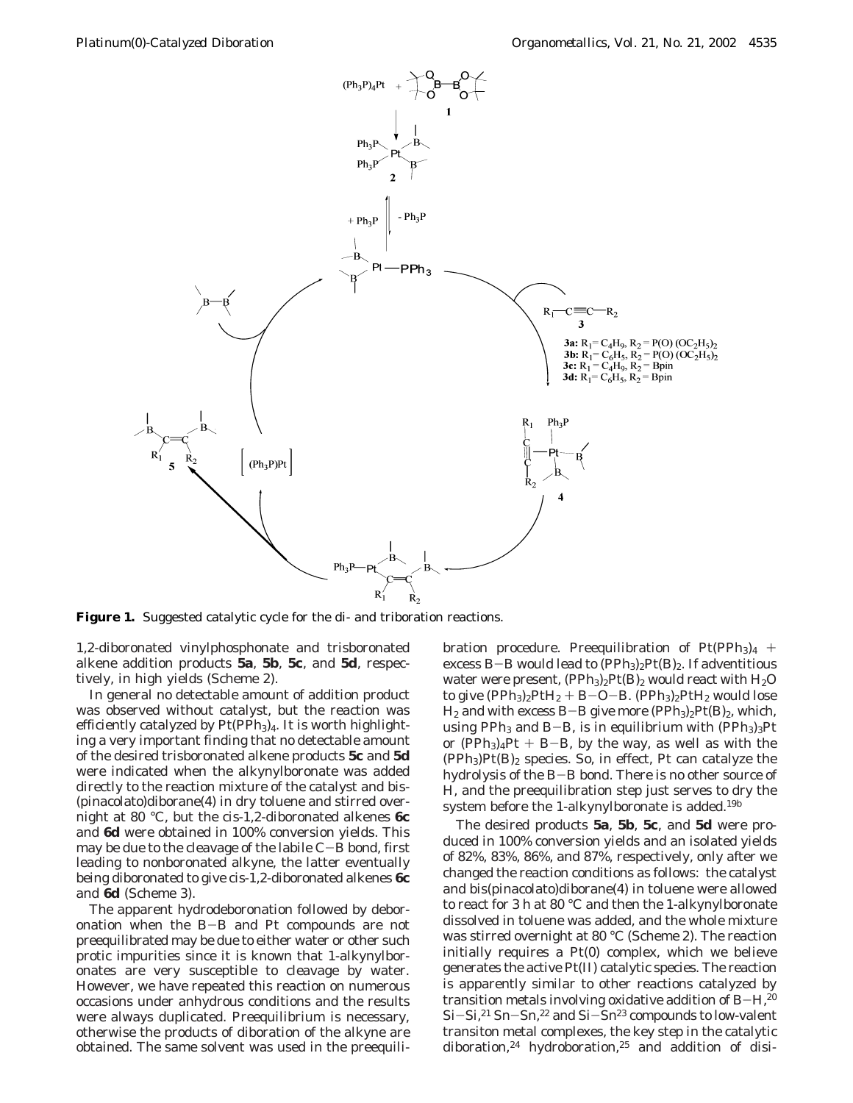

**Figure 1.** Suggested catalytic cycle for the di- and triboration reactions.

1,2-diboronated vinylphosphonate and trisboronated alkene addition products **5a**, **5b**, **5c**, and **5d**, respectively, in high yields (Scheme 2).

In general no detectable amount of addition product was observed without catalyst, but the reaction was efficiently catalyzed by Pt(PPh<sub>3</sub>)<sub>4</sub>. It is worth highlighting a very important finding that no detectable amount of the desired trisboronated alkene products **5c** and **5d** were indicated when the alkynylboronate was added directly to the reaction mixture of the catalyst and bis- (pinacolato)diborane(4) in dry toluene and stirred overnight at 80 °C, but the *cis*-1,2-diboronated alkenes **6c** and **6d** were obtained in 100% conversion yields. This may be due to the cleavage of the labile C-B bond, first leading to nonboronated alkyne, the latter eventually being diboronated to give *cis*-1,2-diboronated alkenes **6c** and **6d** (Scheme 3).

The apparent hydrodeboronation followed by deboronation when the B-B and Pt compounds are not preequilibrated may be due to either water or other such protic impurities since it is known that 1-alkynylboronates are very susceptible to cleavage by water. However, we have repeated this reaction on numerous occasions under anhydrous conditions and the results were always duplicated. Preequilibrium is necessary, otherwise the products of diboration of the alkyne are obtained. The same solvent was used in the preequilibration procedure. Preequilibration of  $Pt(PPh<sub>3</sub>)<sub>4</sub>$  + excess B-B would lead to  $(PPh_3)_2Pt(B)_2$ . If adventitious water were present,  $(PPh_3)_2Pt(B)_2$  would react with  $H_2O$ to give  $(PPh_3)_2PtH_2 + B-O-B$ .  $(PPh_3)_2PtH_2$  would lose  $H_2$  and with excess B-B give more (PPh<sub>3</sub>)<sub>2</sub>Pt(B)<sub>2</sub>, which, using PPh<sub>3</sub> and B-B, is in equilibrium with  $(PPh<sub>3</sub>)<sub>3</sub>Pt$ or  $(PPh_3)_4Pt + B-B$ , by the way, as well as with the  $(PPh_3)Pt(B)_2$  species. So, in effect, Pt can catalyze the hydrolysis of the B-B bond. There is no other source of H, and the preequilibration step just serves to dry the system before the 1-alkynylboronate is added.<sup>19b</sup>

The desired products **5a**, **5b**, **5c**, and **5d** were produced in 100% conversion yields and an isolated yields of 82%, 83%, 86%, and 87%, respectively, only after we changed the reaction conditions as follows: the catalyst and bis(pinacolato)diborane(4) in toluene were allowed to react for 3 h at 80 °C and then the 1-alkynylboronate dissolved in toluene was added, and the whole mixture was stirred overnight at 80 °C (Scheme 2). The reaction initially requires a Pt(0) complex, which we believe generates the active Pt(II) catalytic species. The reaction is apparently similar to other reactions catalyzed by transition metals involving oxidative addition of  $B-H$ ,<sup>20</sup> Si-Si,<sup>21</sup> Sn-Sn,<sup>22</sup> and Si-Sn<sup>23</sup> compounds to low-valent transiton metal complexes, the key step in the catalytic diboration,24 hydroboration,25 and addition of disi-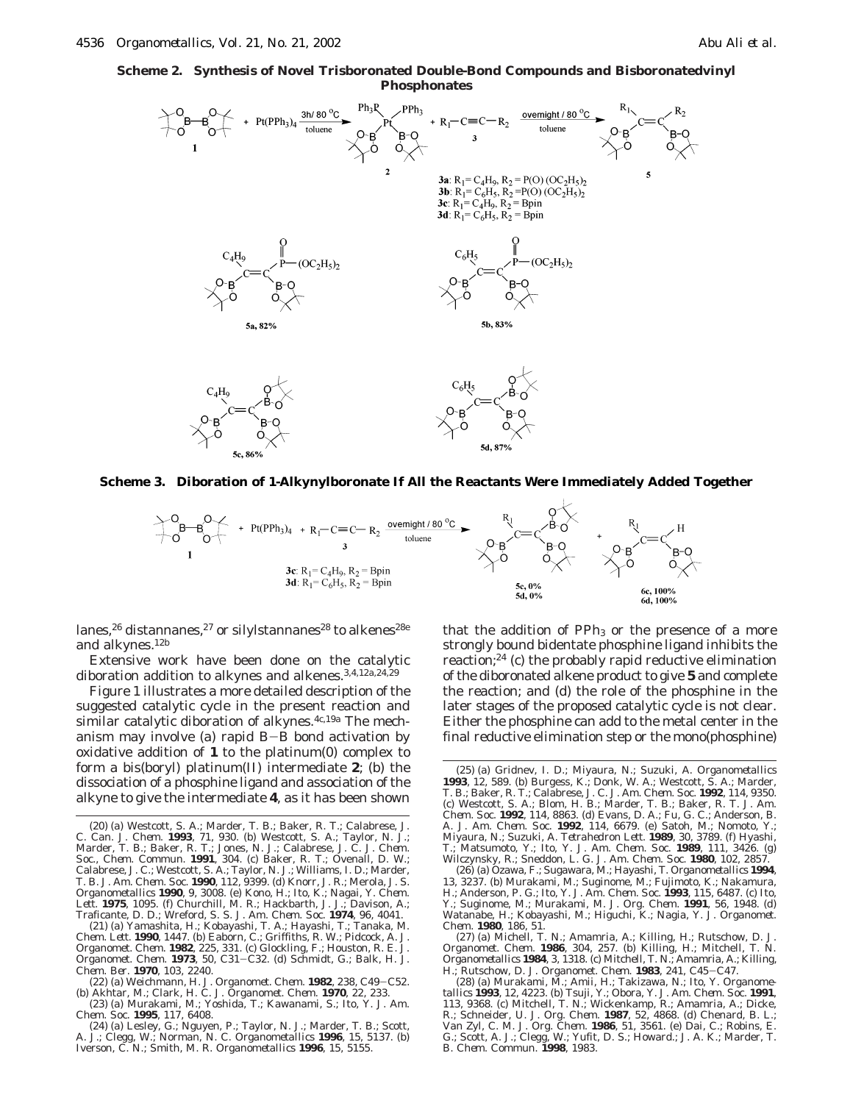**Scheme 2. Synthesis of Novel Trisboronated Double-Bond Compounds and Bisboronatedvinyl Phosphonates**



**Scheme 3. Diboration of 1-Alkynylboronate If All the Reactants Were Immediately Added Together**



lanes,<sup>26</sup> distannanes,<sup>27</sup> or silylstannanes<sup>28</sup> to alkenes<sup>28e</sup> and alkynes.12b

Extensive work have been done on the catalytic diboration addition to alkynes and alkenes.<sup>3,4,12a,24,29</sup>

Figure 1 illustrates a more detailed description of the suggested catalytic cycle in the present reaction and similar catalytic diboration of alkynes.<sup>4c,19a</sup> The mechanism may involve (a) rapid B-B bond activation by oxidative addition of **1** to the platinum(0) complex to form a bis(boryl) platinum(II) intermediate **2**; (b) the dissociation of a phosphine ligand and association of the alkyne to give the intermediate **4**, as it has been shown

that the addition of  $PPh_3$  or the presence of a more strongly bound bidentate phosphine ligand inhibits the reaction;24 (c) the probably rapid reductive elimination of the diboronated alkene product to give **5** and complete the reaction; and (d) the role of the phosphine in the later stages of the proposed catalytic cycle is not clear. Either the phosphine can add to the metal center in the final reductive elimination step or the mono(phosphine)

<sup>(20) (</sup>a) Westcott, S. A.; Marder, T. B.; Baker, R. T.; Calabrese, J. C. *Can. J. Chem*. **1993**, *71*, 930. (b) Westcott, S. A.; Taylor, N. J.; Marder, T. B.; Baker, R. T.; Jones, N. J.; Calabrese, J. C. *J. Chem. Soc.*, *Chem. Commun.* **1991**, 304. (c) Baker, R. T.; Ovenall, D. W.; Calabrese, J. C.; Westcott, S. A.; Taylor, N. J.; Williams, I. D.; Marder, T. B. *J. Am. Chem. Soc.* **1990**, *112*, 9399. (d) Knorr, J. R.; Merola, J. S. *Organometallics* **1990**, *9*, 3008. (e) Kono, H.; Ito, K.; Nagai, Y. *Chem. Lett*. **1975**, 1095. (f) Churchill, M. R.; Hackbarth, J. J.; Davison, A.; Traficante, D. D.; Wreford, S. S. *J. Am. Chem. Soc.* **1974**, *96*, 4041.

<sup>(21) (</sup>a) Yamashita, H.; Kobayashi, T. A.; Hayashi, T.; Tanaka, M. *Chem. Lett*. **1990**, 1447. (b) Eaborn, C.; Griffiths, R. W.; Pidcock, A. *J. Organomet. Chem.* **1982**, *225*, 331. (c) Glockling, F.; Houston, R. E. *J. Organomet. Chem.* **<sup>1973</sup>**, *<sup>50</sup>*, C31-C32. (d) Schmidt, G.; Balk, H. J. *Chem. Ber.* **1970**, *103*, 2240.

<sup>(22) (</sup>a) Weichmann, H*. J. Organomet. Chem.* **<sup>1982</sup>**, *<sup>238</sup>*, C49-C52. (b) Akhtar, M.; Clark, H. C. *J. Organomet. Chem.* **1970**, *22*, 233.

<sup>(23) (</sup>a) Murakami, M.; Yoshida, T.; Kawanami, S.; Ito, Y. *J. Am. Chem. Soc.* **1995**, *117*, 6408.

<sup>(24) (</sup>a) Lesley, G.; Nguyen, P.; Taylor, N. J.; Marder, T. B.; Scott, A. J.; Clegg, W.; Norman, N. C. *Organometallics* **1996**, *15*, 5137. (b) Iverson, C. N.; Smith, M. R. *Organometallics* **1996**, *15*, 5155.

<sup>(25) (</sup>a) Gridnev, I. D.; Miyaura, N.; Suzuki, A. *Organometallics* **1993**, *12*, 589. (b) Burgess, K.; Donk, W. A.; Westcott, S. A.; Marder, T. B.; Baker, R. T.; Calabrese, J. C. *J. Am. Chem. Soc.* **1992**, *114*, 9350. (c) Westcott, S. A.; Blom, H. B.; Marder, T. B.; Baker, R. T. *J. Am. Chem. Soc.* **1992**, *114*, 8863. (d) Evans, D. A.; Fu, G. C.; Anderson, B. A. *J. Am. Chem. Soc.* **1992**, *114*, 6679. (e) Satoh, M.; Nomoto, Y.; Miyaura, N.; Suzuki, A. *Tetrahedron Lett*. **1989**, *30*, 3789. (f) Hyashi, T.; Matsumoto, Y.; Ito, Y. *J. Am. Chem. Soc.* **1989**, *111*, 3426. (g) Wilczynsky, R.; Sneddon, L. G. *J. Am. Chem. Soc.* **1980**, *102*, 2857.

<sup>(26) (</sup>a) Ozawa, F.; Sugawara, M.; Hayashi, T. *Organometallics* **1994**, *13*, 3237. (b) Murakami, M.; Suginome, M.; Fujimoto, K.; Nakamura, H.; Anderson, P. G.; Ito, Y. *J. Am. Chem. Soc.* **1993**, *115*, 6487. (c) Ito, Y.; Suginome, M.; Murakami, M. *J. Org. Chem.* **1991**, *56*, 1948. (d) Watanabe, H.; Kobayashi, M.; Higuchi, K.; Nagia, Y. *J. Organomet. Chem.* **1980**, *186*, 51.

<sup>(27) (</sup>a) Michell, T. N.; Amamria, A.; Killing, H.; Rutschow, D. *J. Organomet. Chem.* **1986**, *304*, 257. (b) Killing, H.; Mitchell, T. N. *Organometallics* **1984**, *3*, 1318. (c) Mitchell, T. N.; Amamria, A.; Killing, H.; Rutschow, D. *J. Organomet. Chem.* **<sup>1983</sup>**, *<sup>241</sup>*, C45-C47. (28) (a) Murakami, M.; Amii, H.; Takizawa, N.; Ito, Y. *Organome-*

*tallics* **1993**, *12*, 4223. (b) Tsuji, Y.; Obora, Y. *J. Am. Chem. Soc.* **1991**, *113*, 9368. (c) Mitchell, T. N.; Wickenkamp, R.; Amamria, A.; Dicke, R.; Schneider, U. *J. Org. Chem.* **1987**, *52*, 4868. (d) Chenard, B. L.; Van Zyl, C. M. *J. Org. Chem.* **1986**, *51*, 3561. (e) Dai, C.; Robins, E. G.; Scott, A. J.; Clegg, W.; Yufit, D. S.; Howard.; J. A. K.; Marder, T. B. *Chem. Commun.* **1998**, 1983.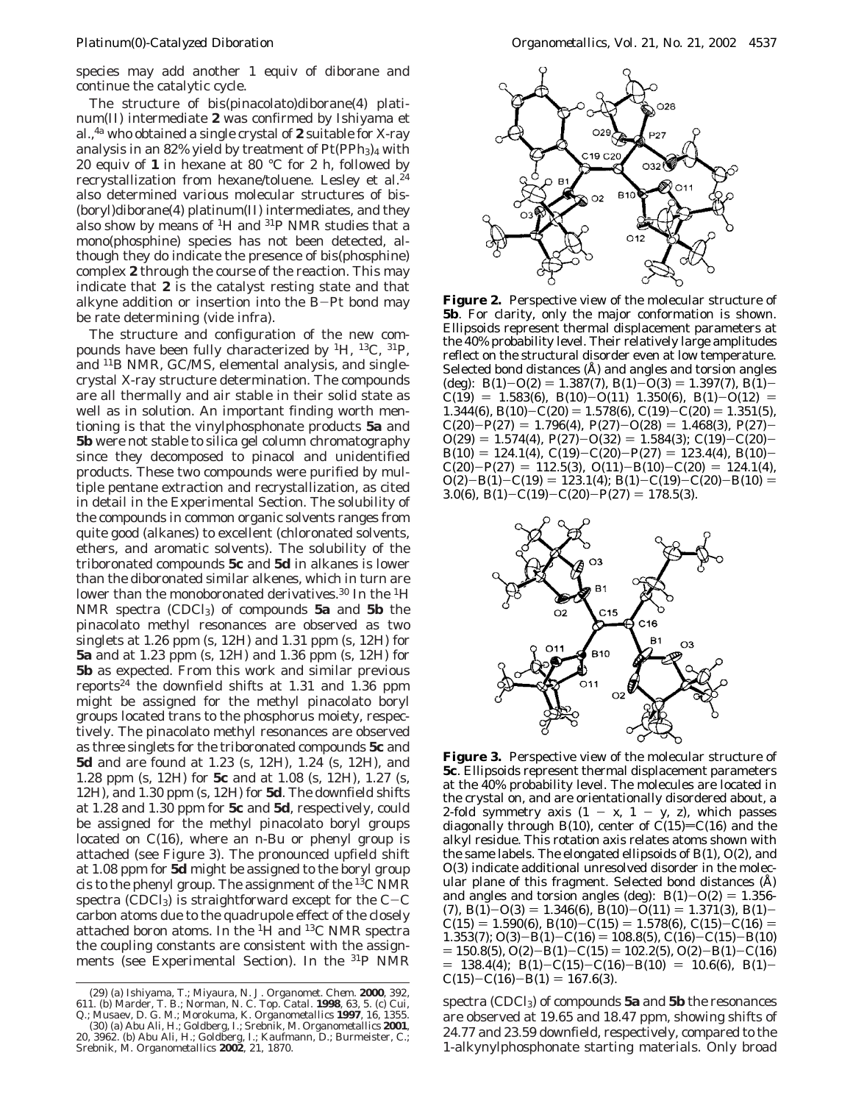species may add another 1 equiv of diborane and continue the catalytic cycle.

The structure of bis(pinacolato)diborane(4) platinum(II) intermediate **2** was confirmed by Ishiyama et al.,4a who obtained a single crystal of **2** suitable for X-ray analysis in an 82% yield by treatment of  $Pt(PPh<sub>3</sub>)<sub>4</sub>$  with 20 equiv of **1** in hexane at 80 °C for 2 h, followed by recrystallization from hexane/toluene. Lesley et al.24 also determined various molecular structures of bis- (boryl)diborane(4) platinum(II) intermediates, and they also show by means of 1H and 31P NMR studies that a mono(phosphine) species has not been detected, although they do indicate the presence of bis(phosphine) complex **2** through the course of the reaction. This may indicate that **2** is the catalyst resting state and that alkyne addition or insertion into the B-Pt bond may be rate determining (vide infra).

The structure and configuration of the new compounds have been fully characterized by 1H, 13C, 31P, and 11B NMR, GC/MS, elemental analysis, and singlecrystal X-ray structure determination. The compounds are all thermally and air stable in their solid state as well as in solution. An important finding worth mentioning is that the vinylphosphonate products **5a** and **5b** were not stable to silica gel column chromatography since they decomposed to pinacol and unidentified products. These two compounds were purified by multiple pentane extraction and recrystallization, as cited in detail in the Experimental Section. The solubility of the compounds in common organic solvents ranges from quite good (alkanes) to excellent (chloronated solvents, ethers, and aromatic solvents). The solubility of the triboronated compounds **5c** and **5d** in alkanes is lower than the diboronated similar alkenes, which in turn are lower than the monoboronated derivatives.<sup>30</sup> In the <sup>1</sup>H NMR spectra (CDCl3) of compounds **5a** and **5b** the pinacolato methyl resonances are observed as two singlets at 1.26 ppm (s, 12H) and 1.31 ppm (s, 12H) for **5a** and at 1.23 ppm (s, 12H) and 1.36 ppm (s, 12H) for **5b** as expected. From this work and similar previous reports<sup>24</sup> the downfield shifts at 1.31 and 1.36 ppm might be assigned for the methyl pinacolato boryl groups located *trans* to the phosphorus moiety, respectively. The pinacolato methyl resonances are observed as three singlets for the triboronated compounds **5c** and **5d** and are found at 1.23 (s, 12H), 1.24 (s, 12H), and 1.28 ppm (s, 12H) for **5c** and at 1.08 (s, 12H), 1.27 (s, 12H), and 1.30 ppm (s, 12H) for **5d**. The downfield shifts at 1.28 and 1.30 ppm for **5c** and **5d**, respectively, could be assigned for the methyl pinacolato boryl groups located on C(16), where an *n*-Bu or phenyl group is attached (see Figure 3). The pronounced upfield shift at 1.08 ppm for **5d** might be assigned to the boryl group *cis* to the phenyl group. The assignment of the 13C NMR spectra (CDCl<sub>3</sub>) is straightforward except for the  $C-C$ carbon atoms due to the quadrupole effect of the closely attached boron atoms. In the 1H and 13C NMR spectra the coupling constants are consistent with the assignments (see Experimental Section). In the <sup>31</sup>P NMR



**Figure 2.** Perspective view of the molecular structure of **5b**. For clarity, only the major conformation is shown. Ellipsoids represent thermal displacement parameters at the 40% probability level. Their relatively large amplitudes reflect on the structural disorder even at low temperature. Selected bond distances (Å) and angles and torsion angles (deg): B(1)-O(2) = 1.387(7), B(1)-O(3) = 1.397(7), B(1)- $C(19) = 1.583(6), B(10)-O(11) 1.350(6), B(1)-O(12) =$ 1.344(6), B(10)-C(20) = 1.578(6), C(19)-C(20) = 1.351(5),  $C(20)-P(27) = 1.796(4), P(27)-O(28) = 1.468(3), P(27)$  $O(29) = 1.574(4), P(27)-O(32) = 1.584(3); C(19)-C(20)$  $B(10) = 124.1(4), C(19) - C(20) - P(27) = 123.4(4), B(10) C(20)-P(27) = 112.5(3), O(11)-B(10)-C(20) = 124.1(4),$  $O(2)-B(1)-C(19) = 123.1(4); B(1)-C(19)-C(20)-B(10) =$ 3.0(6), B(1)-C(19)-C(20)-P(27) = 178.5(3).



**Figure 3.** Perspective view of the molecular structure of **5c**. Ellipsoids represent thermal displacement parameters at the 40% probability level. The molecules are located in the crystal on, and are orientationally disordered about, a 2-fold symmetry axis  $(1 - x, 1 - y, z)$ , which passes diagonally through B(10), center of C(15)=C(16) and the alkyl residue. This rotation axis relates atoms shown with the same labels. The elongated ellipsoids of B(1), O(2), and O(3) indicate additional unresolved disorder in the molecular plane of this fragment. Selected bond distances (Å) and angles and torsion angles (deg):  $B(1)-O(2) = 1.356$ - $(7), B(1) - O(3) = 1.346(6), B(10) - \tilde{O}(11) = 1.371(3), B(1) C(15) = 1.590(6), B(10) - C(15) = 1.578(6), C(15) - C(16) =$ 1.353(7); O(3)-B(1)-C(16) = 108.8(5), C(16)-C(15)-B(10)  $= 150.8(5), O(2)-B(1)-C(15) = 102.2(5), O(2)-B(1)-C(16)$  $= 138.4(4); B(1) - C(15) - C(16) - B(10) = 10.6(6), B(1) C(15)-C(16)-B(1) = 167.6(3).$ 

spectra (CDCl3) of compounds **5a** and **5b** the resonances are observed at 19.65 and 18.47 ppm, showing shifts of 24.77 and 23.59 downfield, respectively, compared to the 1-alkynylphosphonate starting materials. Only broad

<sup>(29) (</sup>a) Ishiyama, T.; Miyaura, N. *J. Organomet. Chem.* **2000**, *392*, 611. (b) Marder, T. B.; Norman, N. C. *Top. Catal.* **1998**, *63*, 5. (c) Cui, Q.; Musaev, D. G. M.; Morokuma, K. *Organometallics* **1997**, *16*, 1355.

<sup>(30) (</sup>a) Abu Ali, H.; Goldberg, I.; Srebnik, M. *Organometallics* **2001**, *20*, 3962. (b) Abu Ali, H.; Goldberg, I.; Kaufmann, D.; Burmeister, C.; Srebnik, M. *Organometallics* **2002**, *21*, 1870.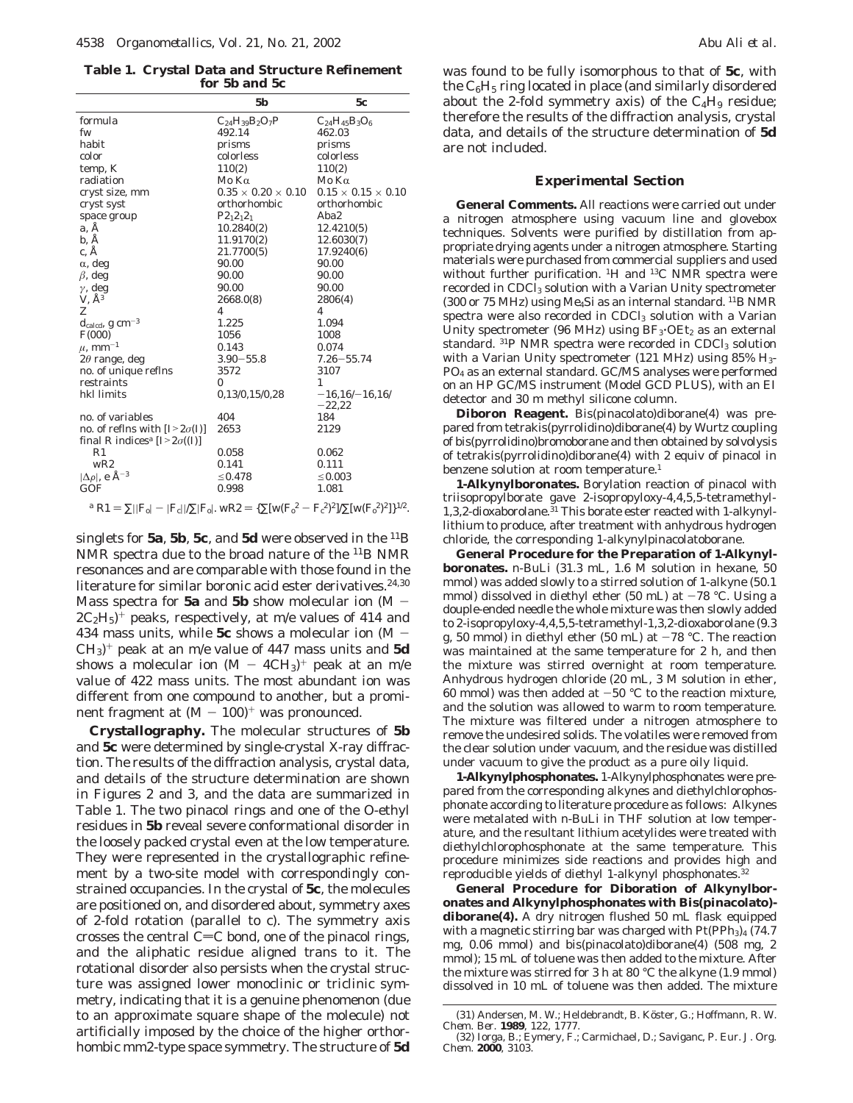**Table 1. Crystal Data and Structure Refinement for 5b and 5c**

|                                                   | 5 <b>b</b>                     | 5c                             |
|---------------------------------------------------|--------------------------------|--------------------------------|
| formula                                           | $C_{24}H_{39}B_2O_7P$          | $C_{24}H_{45}B_{3}O_{6}$       |
| fw                                                | 492.14                         | 462.03                         |
| habit                                             | prisms                         | prisms                         |
| color                                             | colorless                      | colorless                      |
| temp, K                                           | 110(2)                         | 110(2)                         |
| radiation                                         | Mo $K\alpha$                   | Mo K $\alpha$                  |
| cryst size, mm                                    | $0.35 \times 0.20 \times 0.10$ | $0.15 \times 0.15 \times 0.10$ |
| cryst syst                                        | orthorhombic                   | orthorhombic                   |
| space group                                       | $P2_12_12_1$                   | Aba2                           |
| a. Å                                              | 10.2840(2)                     | 12.4210(5)                     |
| b, Å                                              | 11.9170(2)                     | 12.6030(7)                     |
| c. Å                                              | 21.7700(5)                     | 17.9240(6)                     |
| $\alpha$ , deg                                    | 90.00                          | 90.00                          |
| $\beta$ , deg                                     | 90.00                          | 90.00                          |
| $\gamma$ , deg                                    | 90.00                          | 90.00                          |
| $V$ , $A^3$                                       | 2668.0(8)                      | 2806(4)                        |
| Z                                                 | 4                              | 4                              |
| $d_{\rm{calcd}}$ , g cm <sup>-3</sup>             | 1.225                          | 1.094                          |
| F(000)                                            | 1056                           | 1008                           |
| $\mu$ , mm <sup>-1</sup>                          | 0.143                          | 0.074                          |
| $2\theta$ range, deg                              | $3.90 - 55.8$                  | $7.26 - 55.74$                 |
| no. of unique reflns                              | 3572                           | 3107                           |
| restraints                                        | 0                              | 1                              |
| hkl limits                                        | 0.13/0.15/0.28                 | $-16,16/-16,16/$<br>$-22,22$   |
| no. of variables                                  | 404                            | 184                            |
| no. of reflns with $[I>2\sigma(I)]$               | 2653                           | 2129                           |
| final R indices <sup>a</sup> [ $I > 2\sigma(I)$ ] |                                |                                |
| R <sub>1</sub>                                    | 0.058                          | 0.062                          |
| WR2                                               | 0.141                          | 0.111                          |
| $ \Delta \rho $ , e $\rm \AA^{-3}$                | $\leq 0.478$                   | $\leq 0.003$                   |
| GOF                                               | 0.998                          | 1.081                          |

## $a \text{ R1} = \sum ||F_0| - |F_c||/\sum |F_0|$ . wR2 = { $\sum [w(F_0^2 - F_c^2)^2]/\sum [w(F_0^2)^2]$ }<sup>1/2</sup>.

singlets for **5a**, **5b**, **5c**, and **5d** were observed in the 11B NMR spectra due to the broad nature of the 11B NMR resonances and are comparable with those found in the literature for similar boronic acid ester derivatives.<sup>24,30</sup> Mass spectra for **5a** and **5b** show molecular ion (M -  $2C_2H_5$ <sup>+</sup> peaks, respectively, at *m/e* values of 414 and 434 mass units, while **5c** shows a molecular ion (M -  $CH_3$ <sup>+</sup> peak at an *m*/*e* value of 447 mass units and 5**d** shows a molecular ion  $(M - 4CH_3)^+$  peak at an  $m/e$ value of 422 mass units. The most abundant ion was different from one compound to another, but a prominent fragment at  $(M - 100)^+$  was pronounced.

**Crystallography.** The molecular structures of **5b** and **5c** were determined by single-crystal X-ray diffraction. The results of the diffraction analysis, crystal data, and details of the structure determination are shown in Figures 2 and 3, and the data are summarized in Table 1. The two pinacol rings and one of the O-ethyl residues in **5b** reveal severe conformational disorder in the loosely packed crystal even at the low temperature. They were represented in the crystallographic refinement by a two-site model with correspondingly constrained occupancies. In the crystal of **5c**, the molecules are positioned on, and disordered about, symmetry axes of 2-fold rotation (parallel to *c*). The symmetry axis crosses the central  $C=C$  bond, one of the pinacol rings, and the aliphatic residue aligned *trans* to it. The rotational disorder also persists when the crystal structure was assigned lower monoclinic or triclinic symmetry, indicating that it is a genuine phenomenon (due to an approximate square shape of the molecule) not artificially imposed by the choice of the higher orthorhombic mm2-type space symmetry. The structure of **5d**

was found to be fully isomorphous to that of **5c**, with the  $C_6H_5$  ring located in place (and similarly disordered about the 2-fold symmetry axis) of the  $C_4H_9$  residue; therefore the results of the diffraction analysis, crystal data, and details of the structure determination of **5d** are not included.

#### **Experimental Section**

**General Comments.** All reactions were carried out under a nitrogen atmosphere using vacuum line and glovebox techniques. Solvents were purified by distillation from appropriate drying agents under a nitrogen atmosphere. Starting materials were purchased from commercial suppliers and used without further purification. 1H and 13C NMR spectra were recorded in CDCl<sub>3</sub> solution with a Varian Unity spectrometer (300 or 75 MHz) using Me<sub>4</sub>Si as an internal standard. <sup>11</sup>B NMR spectra were also recorded in  $CDCl<sub>3</sub>$  solution with a Varian Unity spectrometer (96 MHz) using  $BF_3$ ·OEt<sub>2</sub> as an external standard.  $31P$  NMR spectra were recorded in CDCl<sub>3</sub> solution with a Varian Unity spectrometer (121 MHz) using  $85\%$  H<sub>3</sub>-PO4 as an external standard. GC/MS analyses were performed on an HP GC/MS instrument (Model GCD PLUS), with an EI detector and 30 m methyl silicone column.

**Diboron Reagent.** Bis(pinacolato)diborane(4) was prepared from tetrakis(pyrrolidino)diborane(4) by Wurtz coupling of bis(pyrrolidino)bromoborane and then obtained by solvolysis of tetrakis(pyrrolidino)diborane(4) with 2 equiv of pinacol in benzene solution at room temperature.<sup>1</sup>

**1-Alkynylboronates.** Borylation reaction of pinacol with triisopropylborate gave 2-isopropyloxy-4,4,5,5-tetramethyl-1,3,2-dioxaborolane.<sup>31</sup> This borate ester reacted with 1-alkynyllithium to produce, after treatment with anhydrous hydrogen chloride, the corresponding 1-alkynylpinacolatoborane.

**General Procedure for the Preparation of 1-Alkynylboronates.** *n*-BuLi (31.3 mL, 1.6 M solution in hexane, 50 mmol) was added slowly to a stirred solution of 1-alkyne (50.1 mmol) dissolved in diethyl ether (50 mL) at  $-78$  °C. Using a douple-ended needle the whole mixture was then slowly added to 2-isopropyloxy-4,4,5,5-tetramethyl-1,3,2-dioxaborolane (9.3 g, 50 mmol) in diethyl ether (50 mL) at  $-78$  °C. The reaction was maintained at the same temperature for 2 h, and then the mixture was stirred overnight at room temperature. Anhydrous hydrogen chloride (20 mL, 3 M solution in ether, 60 mmol) was then added at  $-50$  °C to the reaction mixture, and the solution was allowed to warm to room temperature. The mixture was filtered under a nitrogen atmosphere to remove the undesired solids. The volatiles were removed from the clear solution under vacuum, and the residue was distilled under vacuum to give the product as a pure oily liquid.

**1-Alkynylphosphonates.** 1-Alkynylphosphonates were prepared from the corresponding alkynes and diethylchlorophosphonate according to literature procedure as follows: Alkynes were metalated with *n*-BuLi in THF solution at low temperature, and the resultant lithium acetylides were treated with diethylchlorophosphonate at the same temperature. This procedure minimizes side reactions and provides high and reproducible yields of diethyl 1-alkynyl phosphonates.<sup>32</sup>

**General Procedure for Diboration of Alkynylboronates and Alkynylphosphonates with Bis(pinacolato) diborane(4).** A dry nitrogen flushed 50 mL flask equipped with a magnetic stirring bar was charged with  $Pt(PPh<sub>3</sub>)<sub>4</sub>$  (74.7) mg, 0.06 mmol) and bis(pinacolato)diborane(4) (508 mg, 2 mmol); 15 mL of toluene was then added to the mixture. After the mixture was stirred for 3 h at 80 °C the alkyne (1.9 mmol) dissolved in 10 mL of toluene was then added. The mixture

<sup>(31)</sup> Andersen, M. W.; Heldebrandt, B. Köster, G.; Hoffmann, R. W. *Chem. Ber.* **1989**, *122*, 1777.

<sup>(32)</sup> Iorga, B.; Eymery, F.; Carmichael, D.; Saviganc, P. *Eur*. *J. Org. Chem.* **2000**, 3103.